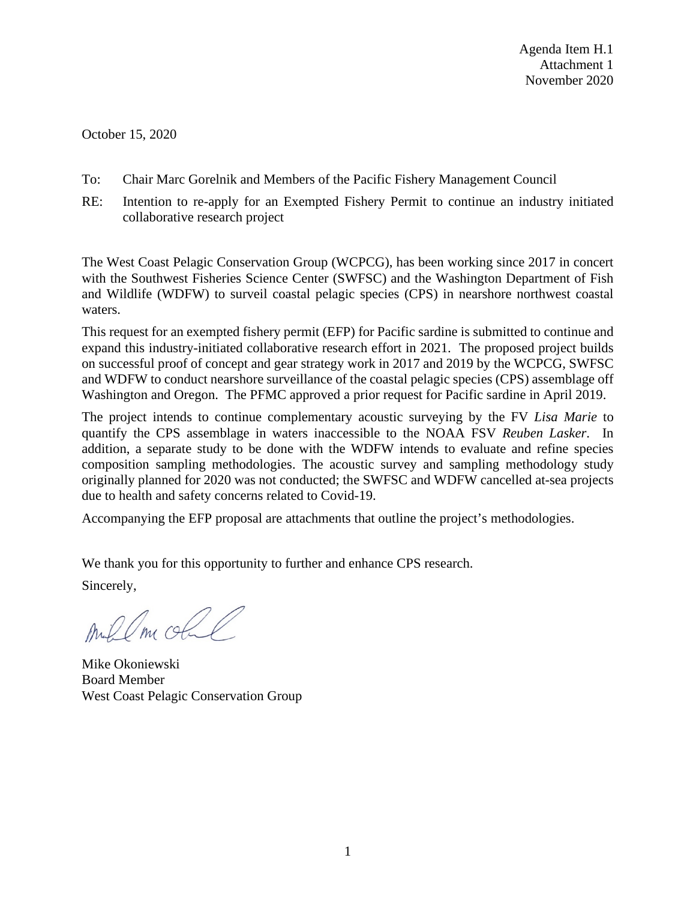October 15, 2020

- To: Chair Marc Gorelnik and Members of the Pacific Fishery Management Council
- RE: Intention to re-apply for an Exempted Fishery Permit to continue an industry initiated collaborative research project

The West Coast Pelagic Conservation Group (WCPCG), has been working since 2017 in concert with the Southwest Fisheries Science Center (SWFSC) and the Washington Department of Fish and Wildlife (WDFW) to surveil coastal pelagic species (CPS) in nearshore northwest coastal waters.

This request for an exempted fishery permit (EFP) for Pacific sardine is submitted to continue and expand this industry-initiated collaborative research effort in 2021. The proposed project builds on successful proof of concept and gear strategy work in 2017 and 2019 by the WCPCG, SWFSC and WDFW to conduct nearshore surveillance of the coastal pelagic species (CPS) assemblage off Washington and Oregon. The PFMC approved a prior request for Pacific sardine in April 2019.

The project intends to continue complementary acoustic surveying by the FV *Lisa Marie* to quantify the CPS assemblage in waters inaccessible to the NOAA FSV *Reuben Lasker*. In addition, a separate study to be done with the WDFW intends to evaluate and refine species composition sampling methodologies. The acoustic survey and sampling methodology study originally planned for 2020 was not conducted; the SWFSC and WDFW cancelled at-sea projects due to health and safety concerns related to Covid-19.

Accompanying the EFP proposal are attachments that outline the project's methodologies.

We thank you for this opportunity to further and enhance CPS research.

Sincerely,

Aublm obl

Mike Okoniewski Board Member West Coast Pelagic Conservation Group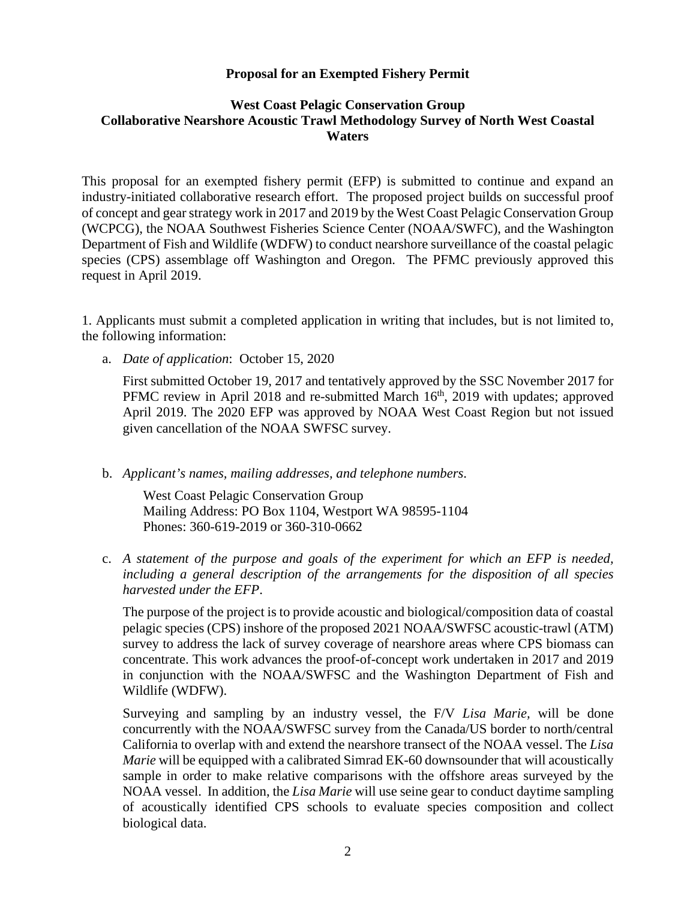#### **Proposal for an Exempted Fishery Permit**

#### **West Coast Pelagic Conservation Group Collaborative Nearshore Acoustic Trawl Methodology Survey of North West Coastal Waters**

This proposal for an exempted fishery permit (EFP) is submitted to continue and expand an industry-initiated collaborative research effort. The proposed project builds on successful proof of concept and gear strategy work in 2017 and 2019 by the West Coast Pelagic Conservation Group (WCPCG), the NOAA Southwest Fisheries Science Center (NOAA/SWFC), and the Washington Department of Fish and Wildlife (WDFW) to conduct nearshore surveillance of the coastal pelagic species (CPS) assemblage off Washington and Oregon. The PFMC previously approved this request in April 2019.

1. Applicants must submit a completed application in writing that includes, but is not limited to, the following information:

a. *Date of application*: October 15, 2020

First submitted October 19, 2017 and tentatively approved by the SSC November 2017 for PFMC review in April 2018 and re-submitted March 16<sup>th</sup>, 2019 with updates; approved April 2019. The 2020 EFP was approved by NOAA West Coast Region but not issued given cancellation of the NOAA SWFSC survey.

b. *Applicant's names, mailing addresses, and telephone numbers*.

West Coast Pelagic Conservation Group Mailing Address: PO Box 1104, Westport WA 98595-1104 Phones: 360-619-2019 or 360-310-0662

c. *A statement of the purpose and goals of the experiment for which an EFP is needed, including a general description of the arrangements for the disposition of all species harvested under the EFP*.

The purpose of the project is to provide acoustic and biological/composition data of coastal pelagic species (CPS) inshore of the proposed 2021 NOAA/SWFSC acoustic-trawl (ATM) survey to address the lack of survey coverage of nearshore areas where CPS biomass can concentrate. This work advances the proof-of-concept work undertaken in 2017 and 2019 in conjunction with the NOAA/SWFSC and the Washington Department of Fish and Wildlife (WDFW).

Surveying and sampling by an industry vessel, the F/V *Lisa Marie,* will be done concurrently with the NOAA/SWFSC survey from the Canada/US border to north/central California to overlap with and extend the nearshore transect of the NOAA vessel. The *Lisa Marie* will be equipped with a calibrated Simrad EK-60 downsounder that will acoustically sample in order to make relative comparisons with the offshore areas surveyed by the NOAA vessel. In addition, the *Lisa Marie* will use seine gear to conduct daytime sampling of acoustically identified CPS schools to evaluate species composition and collect biological data.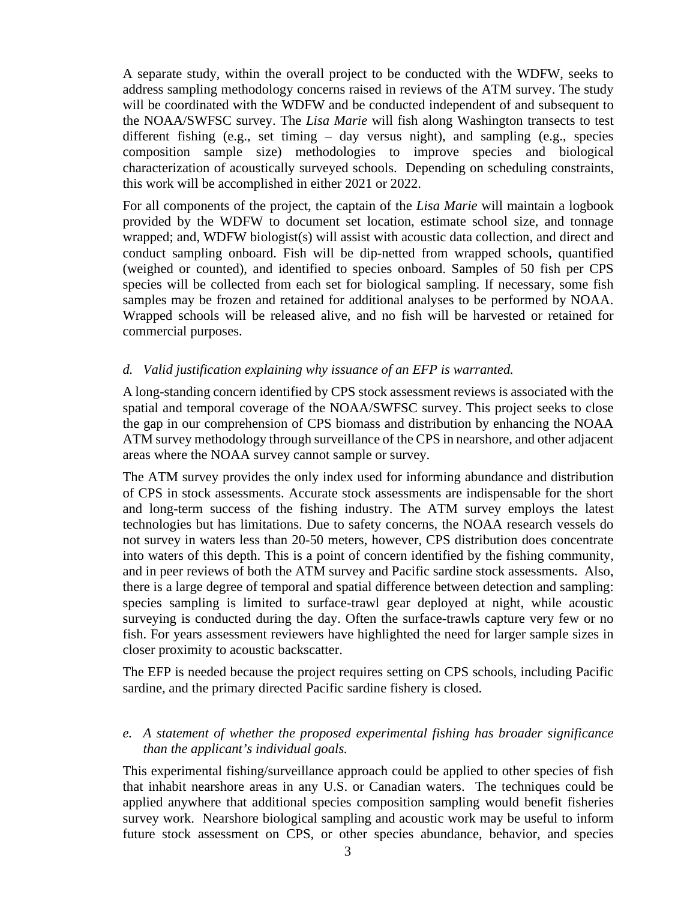A separate study, within the overall project to be conducted with the WDFW, seeks to address sampling methodology concerns raised in reviews of the ATM survey. The study will be coordinated with the WDFW and be conducted independent of and subsequent to the NOAA/SWFSC survey. The *Lisa Marie* will fish along Washington transects to test different fishing (e.g., set timing – day versus night), and sampling (e.g., species composition sample size) methodologies to improve species and biological characterization of acoustically surveyed schools. Depending on scheduling constraints, this work will be accomplished in either 2021 or 2022.

For all components of the project, the captain of the *Lisa Marie* will maintain a logbook provided by the WDFW to document set location, estimate school size, and tonnage wrapped; and, WDFW biologist(s) will assist with acoustic data collection, and direct and conduct sampling onboard. Fish will be dip-netted from wrapped schools, quantified (weighed or counted), and identified to species onboard. Samples of 50 fish per CPS species will be collected from each set for biological sampling. If necessary, some fish samples may be frozen and retained for additional analyses to be performed by NOAA. Wrapped schools will be released alive, and no fish will be harvested or retained for commercial purposes.

## *d. Valid justification explaining why issuance of an EFP is warranted.*

A long-standing concern identified by CPS stock assessment reviews is associated with the spatial and temporal coverage of the NOAA/SWFSC survey. This project seeks to close the gap in our comprehension of CPS biomass and distribution by enhancing the NOAA ATM survey methodology through surveillance of the CPS in nearshore, and other adjacent areas where the NOAA survey cannot sample or survey.

The ATM survey provides the only index used for informing abundance and distribution of CPS in stock assessments. Accurate stock assessments are indispensable for the short and long-term success of the fishing industry. The ATM survey employs the latest technologies but has limitations. Due to safety concerns, the NOAA research vessels do not survey in waters less than 20-50 meters, however, CPS distribution does concentrate into waters of this depth. This is a point of concern identified by the fishing community, and in peer reviews of both the ATM survey and Pacific sardine stock assessments. Also, there is a large degree of temporal and spatial difference between detection and sampling: species sampling is limited to surface-trawl gear deployed at night, while acoustic surveying is conducted during the day. Often the surface-trawls capture very few or no fish. For years assessment reviewers have highlighted the need for larger sample sizes in closer proximity to acoustic backscatter.

The EFP is needed because the project requires setting on CPS schools, including Pacific sardine, and the primary directed Pacific sardine fishery is closed.

#### *e. A statement of whether the proposed experimental fishing has broader significance than the applicant's individual goals.*

This experimental fishing/surveillance approach could be applied to other species of fish that inhabit nearshore areas in any U.S. or Canadian waters. The techniques could be applied anywhere that additional species composition sampling would benefit fisheries survey work. Nearshore biological sampling and acoustic work may be useful to inform future stock assessment on CPS, or other species abundance, behavior, and species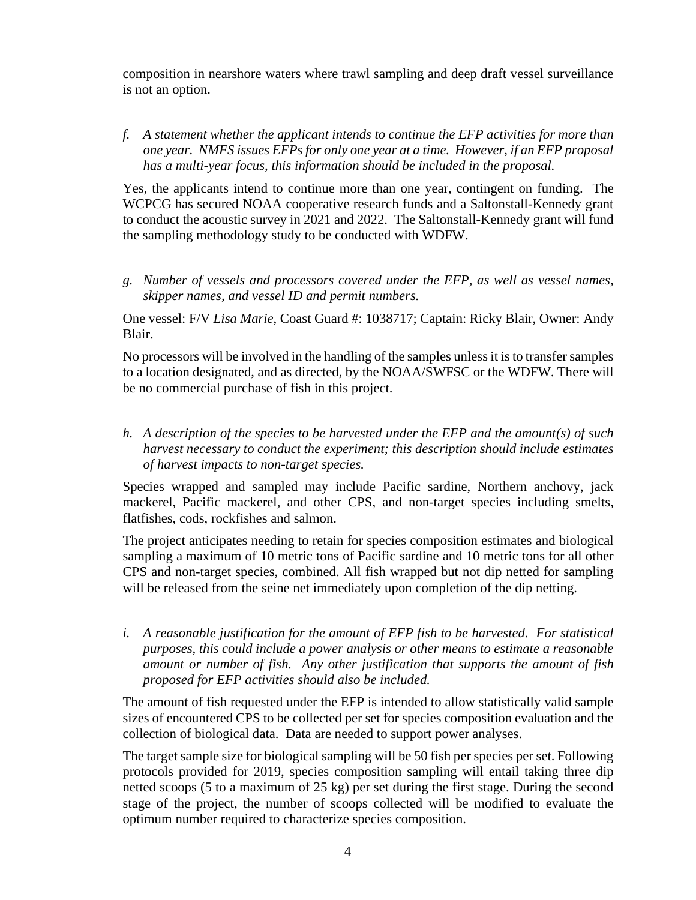composition in nearshore waters where trawl sampling and deep draft vessel surveillance is not an option.

*f. A statement whether the applicant intends to continue the EFP activities for more than one year. NMFS issues EFPs for only one year at a time. However, if an EFP proposal has a multi-year focus, this information should be included in the proposal.*

Yes, the applicants intend to continue more than one year, contingent on funding. The WCPCG has secured NOAA cooperative research funds and a Saltonstall-Kennedy grant to conduct the acoustic survey in 2021 and 2022. The Saltonstall-Kennedy grant will fund the sampling methodology study to be conducted with WDFW.

*g. Number of vessels and processors covered under the EFP, as well as vessel names, skipper names, and vessel ID and permit numbers.*

One vessel: F/V *Lisa Marie*, Coast Guard #: 1038717; Captain: Ricky Blair, Owner: Andy Blair.

No processors will be involved in the handling of the samples unless it is to transfer samples to a location designated, and as directed, by the NOAA/SWFSC or the WDFW. There will be no commercial purchase of fish in this project.

*h. A description of the species to be harvested under the EFP and the amount(s) of such harvest necessary to conduct the experiment; this description should include estimates of harvest impacts to non-target species.*

Species wrapped and sampled may include Pacific sardine, Northern anchovy, jack mackerel, Pacific mackerel, and other CPS, and non-target species including smelts, flatfishes, cods, rockfishes and salmon.

The project anticipates needing to retain for species composition estimates and biological sampling a maximum of 10 metric tons of Pacific sardine and 10 metric tons for all other CPS and non-target species, combined. All fish wrapped but not dip netted for sampling will be released from the seine net immediately upon completion of the dip netting.

*i. A reasonable justification for the amount of EFP fish to be harvested. For statistical purposes, this could include a power analysis or other means to estimate a reasonable amount or number of fish. Any other justification that supports the amount of fish proposed for EFP activities should also be included.* 

The amount of fish requested under the EFP is intended to allow statistically valid sample sizes of encountered CPS to be collected per set for species composition evaluation and the collection of biological data. Data are needed to support power analyses.

The target sample size for biological sampling will be 50 fish per species per set. Following protocols provided for 2019, species composition sampling will entail taking three dip netted scoops (5 to a maximum of 25 kg) per set during the first stage. During the second stage of the project, the number of scoops collected will be modified to evaluate the optimum number required to characterize species composition.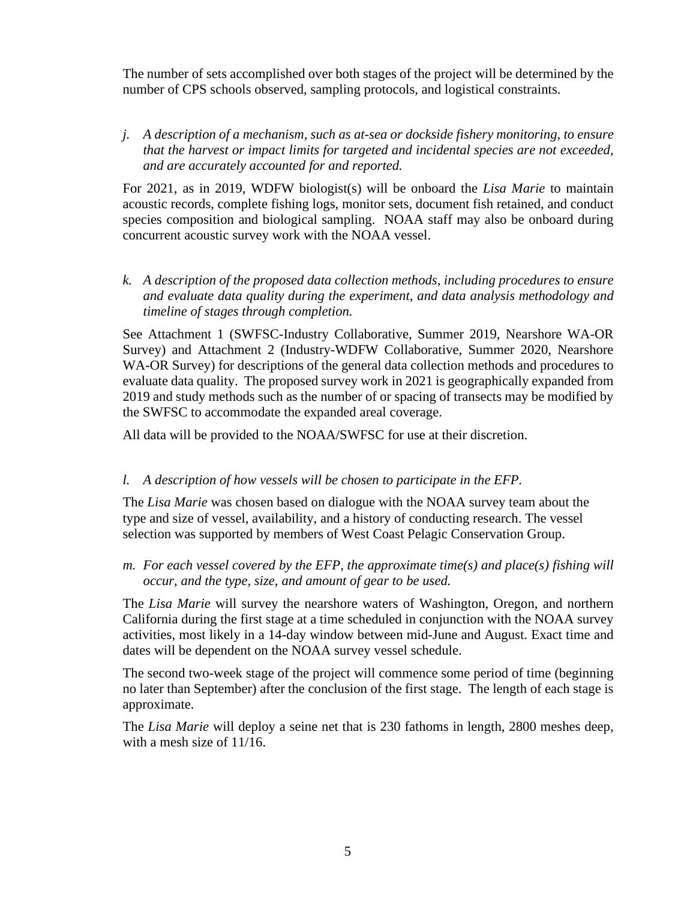The number of sets accomplished over both stages of the project will be determined by the number of CPS schools observed, sampling protocols, and logistical constraints.

*j. A description of a mechanism, such as at-sea or dockside fishery monitoring, to ensure that the harvest or impact limits for targeted and incidental species are not exceeded, and are accurately accounted for and reported.*

For 2021, as in 2019, WDFW biologist(s) will be onboard the *Lisa Marie* to maintain acoustic records, complete fishing logs, monitor sets, document fish retained, and conduct species composition and biological sampling. NOAA staff may also be onboard during concurrent acoustic survey work with the NOAA vessel.

*k. A description of the proposed data collection methods, including procedures to ensure and evaluate data quality during the experiment, and data analysis methodology and timeline of stages through completion.*

See Attachment 1 (SWFSC-Industry Collaborative, Summer 2019, Nearshore WA-OR Survey) and Attachment 2 (Industry-WDFW Collaborative, Summer 2020, Nearshore WA-OR Survey) for descriptions of the general data collection methods and procedures to evaluate data quality. The proposed survey work in 2021 is geographically expanded from 2019 and study methods such as the number of or spacing of transects may be modified by the SWFSC to accommodate the expanded areal coverage.

All data will be provided to the NOAA/SWFSC for use at their discretion.

#### *l. A description of how vessels will be chosen to participate in the EFP.*

The *Lisa Marie* was chosen based on dialogue with the NOAA survey team about the type and size of vessel, availability, and a history of conducting research. The vessel selection was supported by members of West Coast Pelagic Conservation Group.

*m. For each vessel covered by the EFP, the approximate time(s) and place(s) fishing will occur, and the type, size, and amount of gear to be used.*

The *Lisa Marie* will survey the nearshore waters of Washington, Oregon, and northern California during the first stage at a time scheduled in conjunction with the NOAA survey activities, most likely in a 14-day window between mid-June and August. Exact time and dates will be dependent on the NOAA survey vessel schedule.

The second two-week stage of the project will commence some period of time (beginning no later than September) after the conclusion of the first stage. The length of each stage is approximate.

The *Lisa Marie* will deploy a seine net that is 230 fathoms in length, 2800 meshes deep, with a mesh size of 11/16.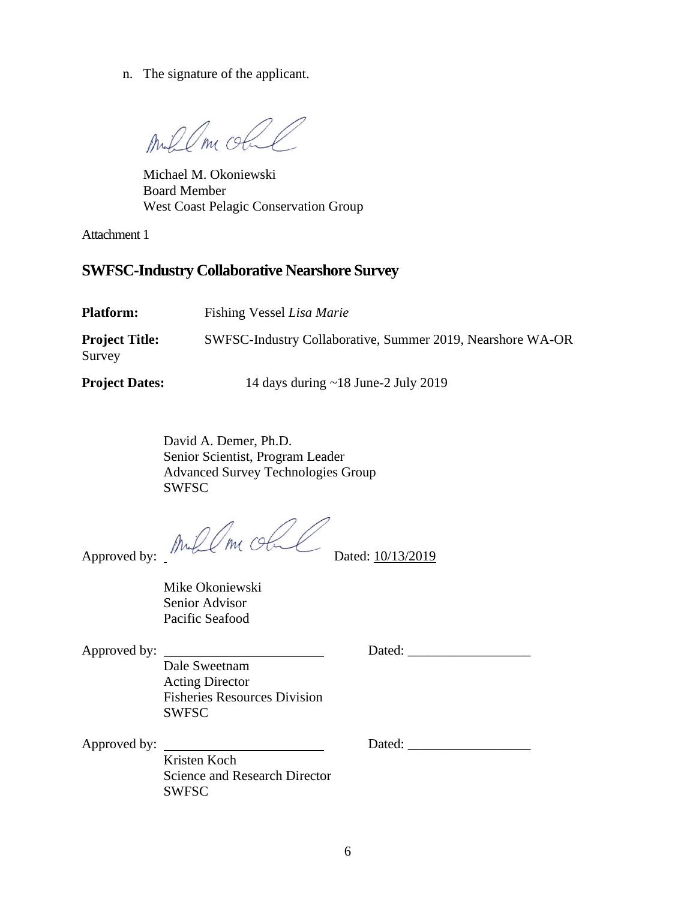n. The signature of the applicant.

mil Om olle

Michael M. Okoniewski Board Member West Coast Pelagic Conservation Group

Attachment 1

# **SWFSC-Industry Collaborative Nearshore Survey**

| <b>Platform:</b>                | Fishing Vessel Lisa Marie                                  |
|---------------------------------|------------------------------------------------------------|
| <b>Project Title:</b><br>Survey | SWFSC-Industry Collaborative, Summer 2019, Nearshore WA-OR |
| <b>Project Dates:</b>           | 14 days during $\sim$ 18 June-2 July 2019                  |

David A. Demer, Ph.D. Senior Scientist, Program Leader Advanced Survey Technologies Group SWFSC

Approved by:  $MMLM$  of  $MML$  Dated: 10/13/2019

Mike Okoniewski Senior Advisor Pacific Seafood

Approved by: Dated: \_\_\_\_\_\_\_\_\_\_\_\_\_\_\_\_\_\_

Dale Sweetnam Acting Director Fisheries Resources Division SWFSC

Kristen Koch Science and Research Director SWFSC

Approved by: Dated: \_\_\_\_\_\_\_\_\_\_\_\_\_\_\_\_\_\_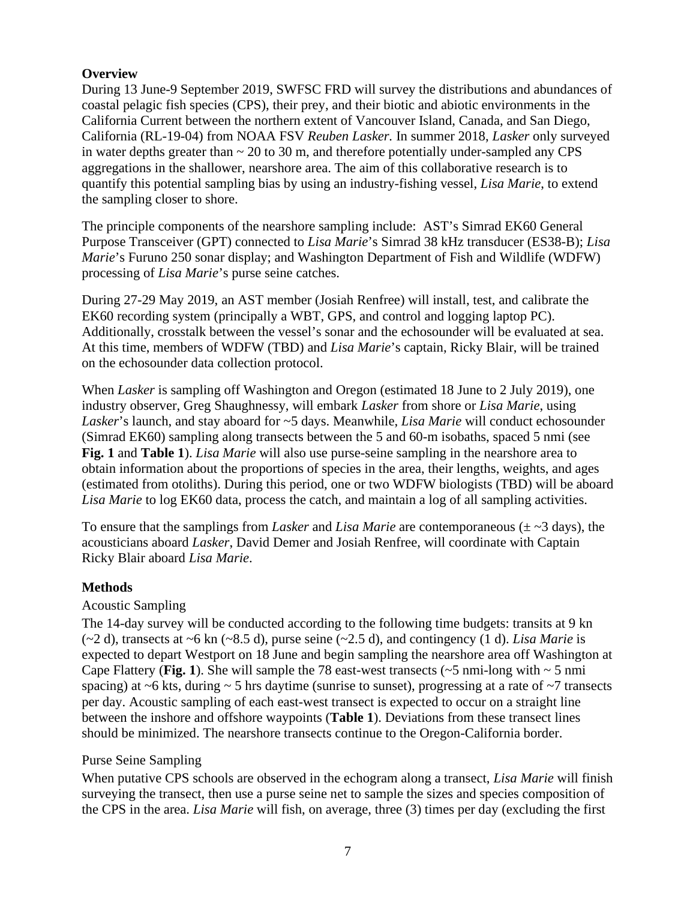## **Overview**

During 13 June-9 September 2019, SWFSC FRD will survey the distributions and abundances of coastal pelagic fish species (CPS), their prey, and their biotic and abiotic environments in the California Current between the northern extent of Vancouver Island, Canada, and San Diego, California (RL-19-04) from NOAA FSV *Reuben Lasker.* In summer 2018, *Lasker* only surveyed in water depths greater than  $\sim$  20 to 30 m, and therefore potentially under-sampled any CPS aggregations in the shallower, nearshore area. The aim of this collaborative research is to quantify this potential sampling bias by using an industry-fishing vessel, *Lisa Marie*, to extend the sampling closer to shore.

The principle components of the nearshore sampling include: AST's Simrad EK60 General Purpose Transceiver (GPT) connected to *Lisa Marie*'s Simrad 38 kHz transducer (ES38-B); *Lisa Marie*'s Furuno 250 sonar display; and Washington Department of Fish and Wildlife (WDFW) processing of *Lisa Marie*'s purse seine catches.

During 27-29 May 2019, an AST member (Josiah Renfree) will install, test, and calibrate the EK60 recording system (principally a WBT, GPS, and control and logging laptop PC). Additionally, crosstalk between the vessel's sonar and the echosounder will be evaluated at sea. At this time, members of WDFW (TBD) and *Lisa Marie*'s captain, Ricky Blair, will be trained on the echosounder data collection protocol.

When *Lasker* is sampling off Washington and Oregon (estimated 18 June to 2 July 2019), one industry observer, Greg Shaughnessy, will embark *Lasker* from shore or *Lisa Marie*, using *Lasker*'s launch, and stay aboard for ~5 days. Meanwhile, *Lisa Marie* will conduct echosounder (Simrad EK60) sampling along transects between the 5 and 60-m isobaths, spaced 5 nmi (see **Fig. 1** and **Table 1**). *Lisa Marie* will also use purse-seine sampling in the nearshore area to obtain information about the proportions of species in the area, their lengths, weights, and ages (estimated from otoliths). During this period, one or two WDFW biologists (TBD) will be aboard *Lisa Marie* to log EK60 data, process the catch, and maintain a log of all sampling activities.

To ensure that the samplings from *Lasker* and *Lisa Marie* are contemporaneous (± ~3 days), the acousticians aboard *Lasker*, David Demer and Josiah Renfree, will coordinate with Captain Ricky Blair aboard *Lisa Marie*.

## **Methods**

## Acoustic Sampling

The 14-day survey will be conducted according to the following time budgets: transits at 9 kn (~2 d), transects at ~6 kn (~8.5 d), purse seine (~2.5 d), and contingency (1 d). *Lisa Marie* is expected to depart Westport on 18 June and begin sampling the nearshore area off Washington at Cape Flattery (**Fig. 1**). She will sample the 78 east-west transects ( $\sim$ 5 nmi-long with  $\sim$  5 nmi spacing) at  $\sim$ 6 kts, during  $\sim$  5 hrs daytime (sunrise to sunset), progressing at a rate of  $\sim$ 7 transects per day. Acoustic sampling of each east-west transect is expected to occur on a straight line between the inshore and offshore waypoints (**Table 1**). Deviations from these transect lines should be minimized. The nearshore transects continue to the Oregon-California border.

## Purse Seine Sampling

When putative CPS schools are observed in the echogram along a transect, *Lisa Marie* will finish surveying the transect, then use a purse seine net to sample the sizes and species composition of the CPS in the area. *Lisa Marie* will fish, on average, three (3) times per day (excluding the first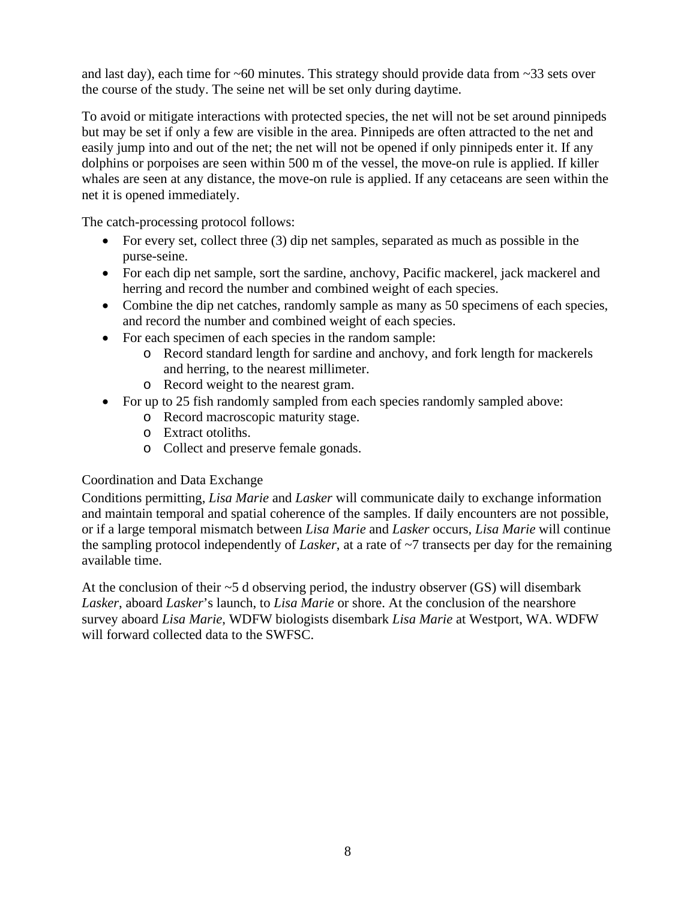and last day), each time for  $\sim 60$  minutes. This strategy should provide data from  $\sim 33$  sets over the course of the study. The seine net will be set only during daytime.

To avoid or mitigate interactions with protected species, the net will not be set around pinnipeds but may be set if only a few are visible in the area. Pinnipeds are often attracted to the net and easily jump into and out of the net; the net will not be opened if only pinnipeds enter it. If any dolphins or porpoises are seen within 500 m of the vessel, the move-on rule is applied. If killer whales are seen at any distance, the move-on rule is applied. If any cetaceans are seen within the net it is opened immediately.

The catch-processing protocol follows:

- For every set, collect three (3) dip net samples, separated as much as possible in the purse-seine.
- For each dip net sample, sort the sardine, anchovy, Pacific mackerel, jack mackerel and herring and record the number and combined weight of each species.
- Combine the dip net catches, randomly sample as many as 50 specimens of each species, and record the number and combined weight of each species.
- For each specimen of each species in the random sample:
	- o Record standard length for sardine and anchovy, and fork length for mackerels and herring, to the nearest millimeter.
	- o Record weight to the nearest gram.
- For up to 25 fish randomly sampled from each species randomly sampled above:
	- o Record macroscopic maturity stage.
	- o Extract otoliths.
	- o Collect and preserve female gonads.

## Coordination and Data Exchange

Conditions permitting, *Lisa Marie* and *Lasker* will communicate daily to exchange information and maintain temporal and spatial coherence of the samples. If daily encounters are not possible, or if a large temporal mismatch between *Lisa Marie* and *Lasker* occurs, *Lisa Marie* will continue the sampling protocol independently of *Lasker*, at a rate of ~7 transects per day for the remaining available time.

At the conclusion of their  $\sim$ 5 d observing period, the industry observer (GS) will disembark *Lasker*, aboard *Lasker*'s launch, to *Lisa Marie* or shore. At the conclusion of the nearshore survey aboard *Lisa Marie*, WDFW biologists disembark *Lisa Marie* at Westport, WA. WDFW will forward collected data to the SWFSC.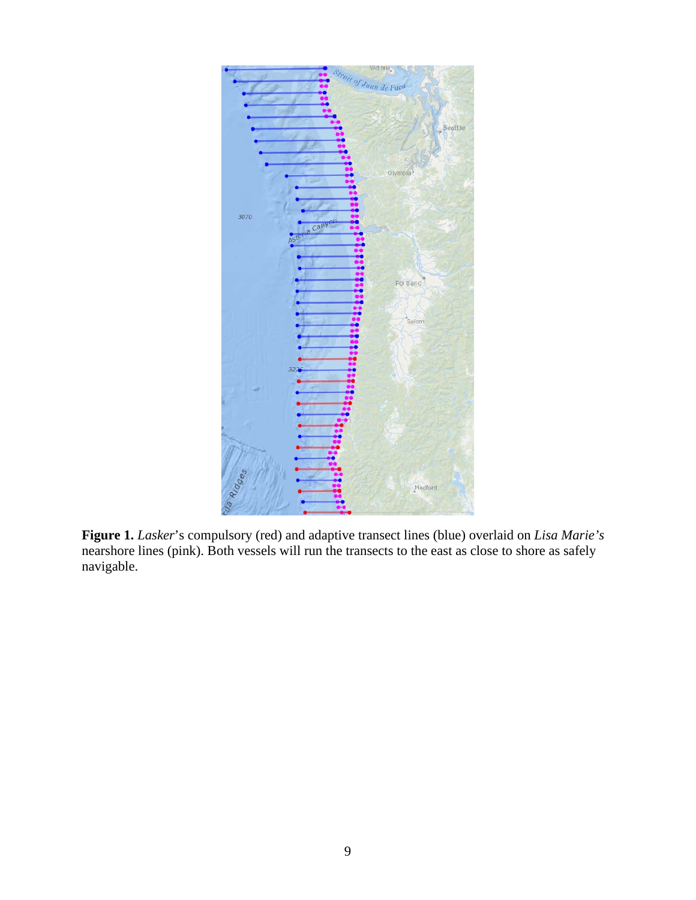

**Figure 1.** *Lasker*'s compulsory (red) and adaptive transect lines (blue) overlaid on *Lisa Marie's* nearshore lines (pink). Both vessels will run the transects to the east as close to shore as safely navigable.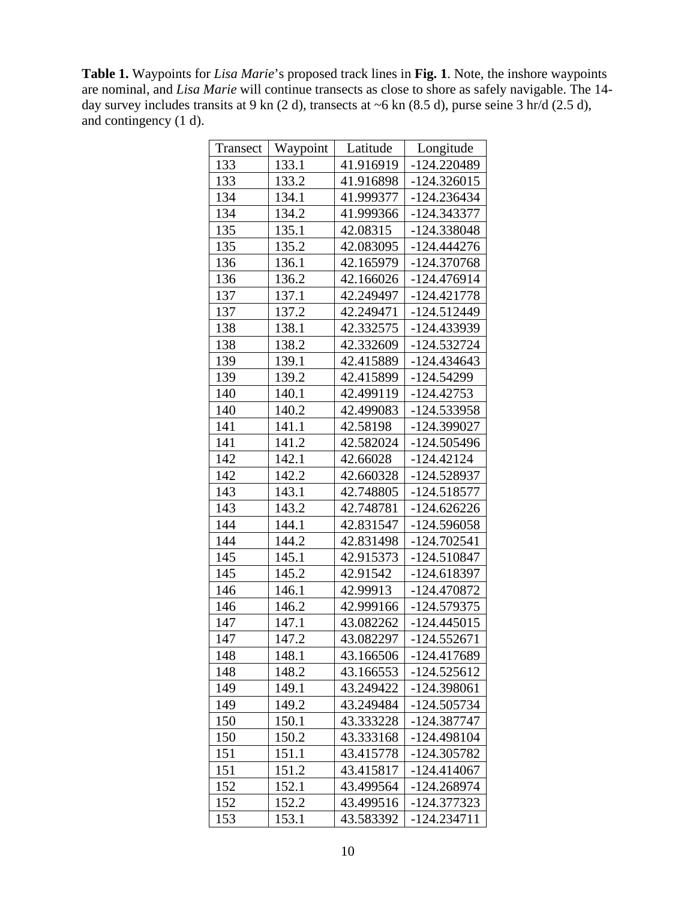**Table 1.** Waypoints for *Lisa Marie*'s proposed track lines in **Fig. 1**. Note, the inshore waypoints are nominal, and *Lisa Marie* will continue transects as close to shore as safely navigable. The 14 day survey includes transits at 9 kn (2 d), transects at ~6 kn (8.5 d), purse seine 3 hr/d (2.5 d), and contingency (1 d).

| Transect | Waypoint | Latitude  | Longitude     |
|----------|----------|-----------|---------------|
| 133      | 133.1    | 41.916919 | -124.220489   |
| 133      | 133.2    | 41.916898 | $-124.326015$ |
| 134      | 134.1    | 41.999377 | -124.236434   |
| 134      | 134.2    | 41.999366 | -124.343377   |
| 135      | 135.1    | 42.08315  | -124.338048   |
| 135      | 135.2    | 42.083095 | $-124.444276$ |
| 136      | 136.1    | 42.165979 | -124.370768   |
| 136      | 136.2    | 42.166026 | -124.476914   |
| 137      | 137.1    | 42.249497 | $-124.421778$ |
| 137      | 137.2    | 42.249471 | -124.512449   |
| 138      | 138.1    | 42.332575 | -124.433939   |
| 138      | 138.2    | 42.332609 | -124.532724   |
| 139      | 139.1    | 42.415889 | -124.434643   |
| 139      | 139.2    | 42.415899 | -124.54299    |
| 140      | 140.1    | 42.499119 | $-124.42753$  |
| 140      | 140.2    | 42.499083 | -124.533958   |
| 141      | 141.1    | 42.58198  | -124.399027   |
| 141      | 141.2    | 42.582024 | -124.505496   |
| 142      | 142.1    | 42.66028  | $-124.42124$  |
| 142      | 142.2    | 42.660328 | -124.528937   |
| 143      | 143.1    | 42.748805 | $-124.518577$ |
| 143      | 143.2    | 42.748781 | -124.626226   |
| 144      | 144.1    | 42.831547 | -124.596058   |
| 144      | 144.2    | 42.831498 | -124.702541   |
| 145      | 145.1    | 42.915373 | -124.510847   |
| 145      | 145.2    | 42.91542  | -124.618397   |
| 146      | 146.1    | 42.99913  | -124.470872   |
| 146      | 146.2    | 42.999166 | -124.579375   |
| 147      | 147.1    | 43.082262 | -124.445015   |
| 147      | 147.2    | 43.082297 | $-124.552671$ |
| 148      | 148.1    | 43.166506 | -124.417689   |
| 148      | 148.2    | 43.166553 | -124.525612   |
| 149      | 149.1    | 43.249422 | -124.398061   |
| 149      | 149.2    | 43.249484 | -124.505734   |
| 150      | 150.1    | 43.333228 | -124.387747   |
| 150      | 150.2    | 43.333168 | -124.498104   |
| 151      | 151.1    | 43.415778 | -124.305782   |
| 151      | 151.2    | 43.415817 | -124.414067   |
| 152      | 152.1    | 43.499564 | -124.268974   |
| 152      | 152.2    | 43.499516 | -124.377323   |
| 153      | 153.1    | 43.583392 | $-124.234711$ |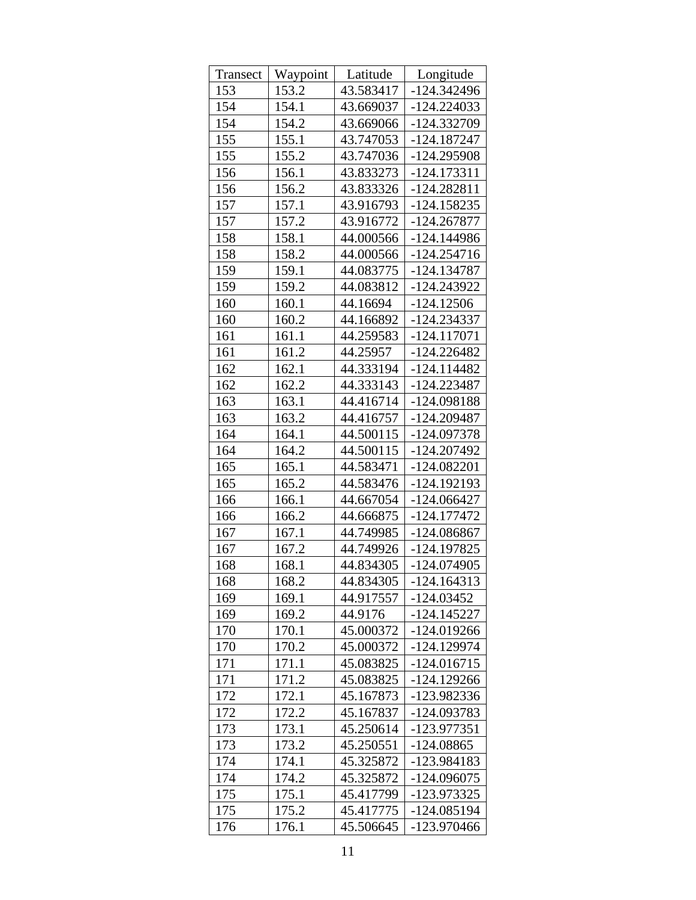| Transect | Waypoint | Latitude  | Longitude     |
|----------|----------|-----------|---------------|
| 153      | 153.2    | 43.583417 | -124.342496   |
| 154      | 154.1    | 43.669037 | $-124.224033$ |
| 154      | 154.2    | 43.669066 | -124.332709   |
| 155      | 155.1    | 43.747053 | -124.187247   |
| 155      | 155.2    | 43.747036 | -124.295908   |
| 156      | 156.1    | 43.833273 | -124.173311   |
| 156      | 156.2    | 43.833326 | -124.282811   |
| 157      | 157.1    | 43.916793 | -124.158235   |
| 157      | 157.2    | 43.916772 | -124.267877   |
| 158      | 158.1    | 44.000566 | -124.144986   |
| 158      | 158.2    | 44.000566 | $-124.254716$ |
| 159      | 159.1    | 44.083775 | -124.134787   |
| 159      | 159.2    | 44.083812 | -124.243922   |
| 160      | 160.1    | 44.16694  | $-124.12506$  |
| 160      | 160.2    | 44.166892 | -124.234337   |
| 161      | 161.1    | 44.259583 | $-124.117071$ |
| 161      | 161.2    | 44.25957  | $-124.226482$ |
| 162      | 162.1    | 44.333194 | $-124.114482$ |
| 162      | 162.2    | 44.333143 | -124.223487   |
| 163      | 163.1    | 44.416714 | -124.098188   |
| 163      | 163.2    | 44.416757 | -124.209487   |
| 164      | 164.1    | 44.500115 | -124.097378   |
| 164      | 164.2    | 44.500115 | -124.207492   |
| 165      | 165.1    | 44.583471 | -124.082201   |
| 165      | 165.2    | 44.583476 | -124.192193   |
| 166      | 166.1    | 44.667054 | -124.066427   |
| 166      | 166.2    | 44.666875 | -124.177472   |
| 167      | 167.1    | 44.749985 | -124.086867   |
| 167      | 167.2    | 44.749926 | -124.197825   |
| 168      | 168.1    | 44.834305 | -124.074905   |
| 168      | 168.2    | 44.834305 | $-124.164313$ |
| 169      | 169.1    | 44.917557 | -124.03452    |
| 169      | 169.2    | 44.9176   | -124.145227   |
| 170      | 170.1    | 45.000372 | -124.019266   |
| 170      | 170.2    | 45.000372 | -124.129974   |
| 171      | 171.1    | 45.083825 | $-124.016715$ |
| 171      | 171.2    | 45.083825 | -124.129266   |
| 172      | 172.1    | 45.167873 | -123.982336   |
| 172      | 172.2    | 45.167837 | -124.093783   |
| 173      | 173.1    | 45.250614 | -123.977351   |
| 173      | 173.2    | 45.250551 | -124.08865    |
| 174      | 174.1    | 45.325872 | -123.984183   |
| 174      | 174.2    | 45.325872 | -124.096075   |
| 175      | 175.1    | 45.417799 | -123.973325   |
| 175      | 175.2    | 45.417775 | -124.085194   |
| 176      | 176.1    | 45.506645 | -123.970466   |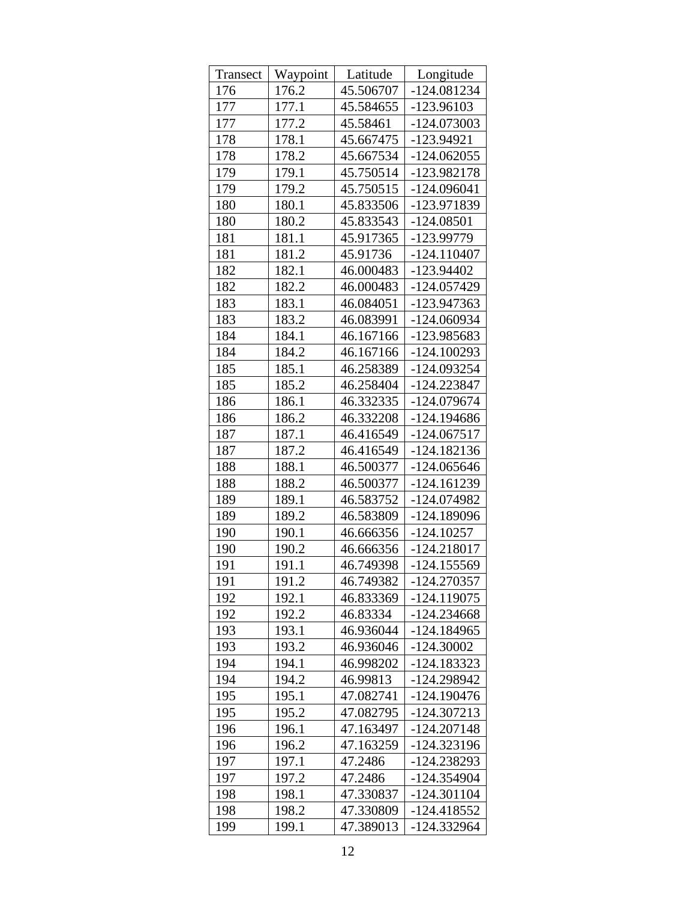| Transect | Waypoint | Latitude  | Longitude     |
|----------|----------|-----------|---------------|
| 176      | 176.2    | 45.506707 | -124.081234   |
| 177      | 177.1    | 45.584655 | -123.96103    |
| 177      | 177.2    | 45.58461  | -124.073003   |
| 178      | 178.1    | 45.667475 | -123.94921    |
| 178      | 178.2    | 45.667534 | $-124.062055$ |
| 179      | 179.1    | 45.750514 | -123.982178   |
| 179      | 179.2    | 45.750515 | $-124.096041$ |
| 180      | 180.1    | 45.833506 | -123.971839   |
| 180      | 180.2    | 45.833543 | $-124.08501$  |
| 181      | 181.1    | 45.917365 | -123.99779    |
| 181      | 181.2    | 45.91736  | $-124.110407$ |
| 182      | 182.1    | 46.000483 | -123.94402    |
| 182      | 182.2    | 46.000483 | -124.057429   |
| 183      | 183.1    | 46.084051 | -123.947363   |
| 183      | 183.2    | 46.083991 | -124.060934   |
| 184      | 184.1    | 46.167166 | -123.985683   |
| 184      | 184.2    | 46.167166 | $-124.100293$ |
| 185      | 185.1    | 46.258389 | -124.093254   |
| 185      | 185.2    | 46.258404 | $-124.223847$ |
| 186      | 186.1    | 46.332335 | -124.079674   |
| 186      | 186.2    | 46.332208 | -124.194686   |
| 187      | 187.1    | 46.416549 | -124.067517   |
| 187      | 187.2    | 46.416549 | -124.182136   |
| 188      | 188.1    | 46.500377 | $-124.065646$ |
| 188      | 188.2    | 46.500377 | -124.161239   |
| 189      | 189.1    | 46.583752 | -124.074982   |
| 189      | 189.2    | 46.583809 | -124.189096   |
| 190      | 190.1    | 46.666356 | $-124.10257$  |
| 190      | 190.2    | 46.666356 | $-124.218017$ |
| 191      | 191.1    | 46.749398 | -124.155569   |
| 191      | 191.2    | 46.749382 | -124.270357   |
| 192      | 192.1    | 46.833369 | $-124.119075$ |
| 192      | 192.2    | 46.83334  | -124.234668   |
| 193      | 193.1    | 46.936044 | -124.184965   |
| 193      | 193.2    | 46.936046 | $-124.30002$  |
| 194      | 194.1    | 46.998202 | -124.183323   |
| 194      | 194.2    | 46.99813  | -124.298942   |
| 195      | 195.1    | 47.082741 | -124.190476   |
| 195      | 195.2    | 47.082795 | -124.307213   |
| 196      | 196.1    | 47.163497 | $-124.207148$ |
| 196      | 196.2    | 47.163259 | -124.323196   |
| 197      | 197.1    | 47.2486   | -124.238293   |
| 197      | 197.2    | 47.2486   | -124.354904   |
| 198      | 198.1    | 47.330837 | -124.301104   |
| 198      | 198.2    | 47.330809 | -124.418552   |
| 199      | 199.1    | 47.389013 | -124.332964   |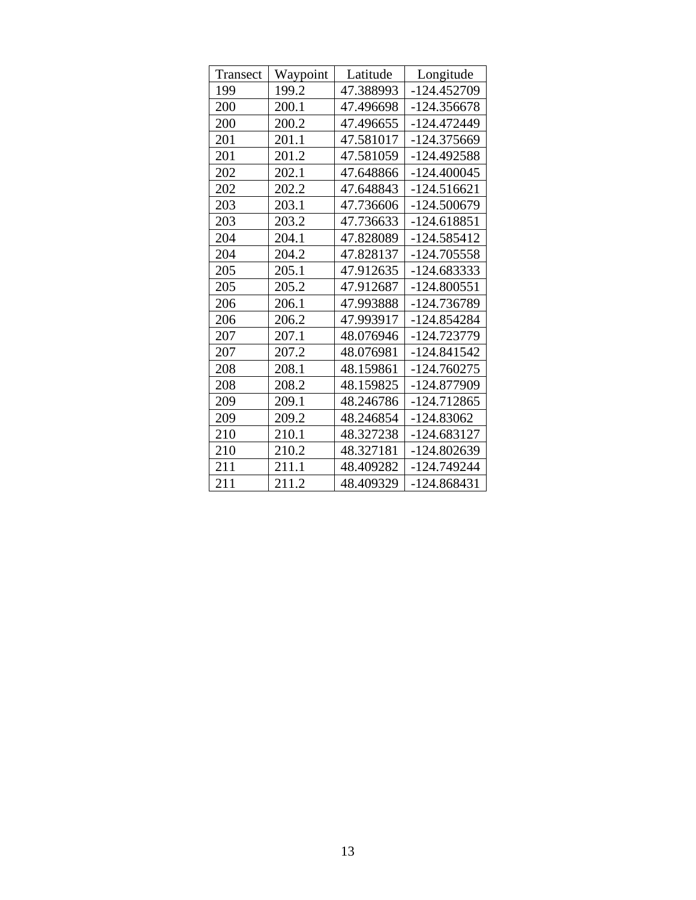| Transect | Waypoint | Latitude  | Longitude     |
|----------|----------|-----------|---------------|
| 199      | 199.2    | 47.388993 | -124.452709   |
| 200      | 200.1    | 47.496698 | $-124.356678$ |
| 200      | 200.2    | 47.496655 | -124.472449   |
| 201      | 201.1    | 47.581017 | -124.375669   |
| 201      | 201.2    | 47.581059 | -124.492588   |
| 202      | 202.1    | 47.648866 | $-124.400045$ |
| 202      | 202.2    | 47.648843 | $-124.516621$ |
| 203      | 203.1    | 47.736606 | -124.500679   |
| 203      | 203.2    | 47.736633 | $-124.618851$ |
| 204      | 204.1    | 47.828089 | -124.585412   |
| 204      | 204.2    | 47.828137 | -124.705558   |
| 205      | 205.1    | 47.912635 | -124.683333   |
| 205      | 205.2    | 47.912687 | -124.800551   |
| 206      | 206.1    | 47.993888 | -124.736789   |
| 206      | 206.2    | 47.993917 | -124.854284   |
| 207      | 207.1    | 48.076946 | -124.723779   |
| 207      | 207.2    | 48.076981 | -124.841542   |
| 208      | 208.1    | 48.159861 | $-124.760275$ |
| 208      | 208.2    | 48.159825 | -124.877909   |
| 209      | 209.1    | 48.246786 | -124.712865   |
| 209      | 209.2    | 48.246854 | $-124.83062$  |
| 210      | 210.1    | 48.327238 | -124.683127   |
| 210      | 210.2    | 48.327181 | $-124.802639$ |
| 211      | 211.1    | 48.409282 | -124.749244   |
| 211      | 211.2    | 48.409329 | -124.868431   |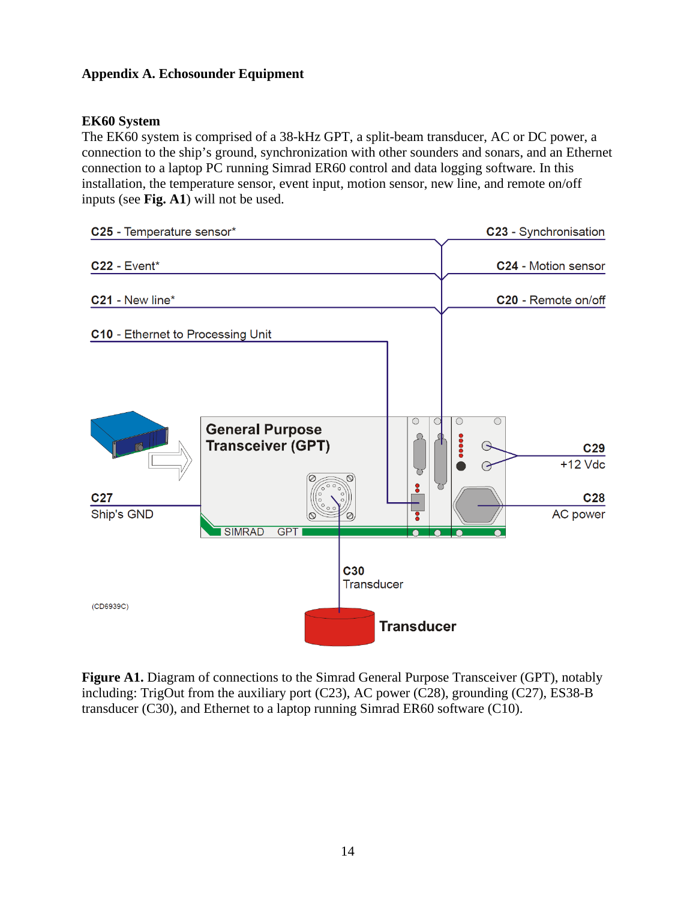# **Appendix A. Echosounder Equipment**

#### **EK60 System**

The EK60 system is comprised of a 38-kHz GPT, a split-beam transducer, AC or DC power, a connection to the ship's ground, synchronization with other sounders and sonars, and an Ethernet connection to a laptop PC running Simrad ER60 control and data logging software. In this installation, the temperature sensor, event input, motion sensor, new line, and remote on/off inputs (see **Fig. A1**) will not be used.



**Figure A1.** Diagram of connections to the Simrad General Purpose Transceiver (GPT), notably including: TrigOut from the auxiliary port (C23), AC power (C28), grounding (C27), ES38-B transducer (C30), and Ethernet to a laptop running Simrad ER60 software (C10).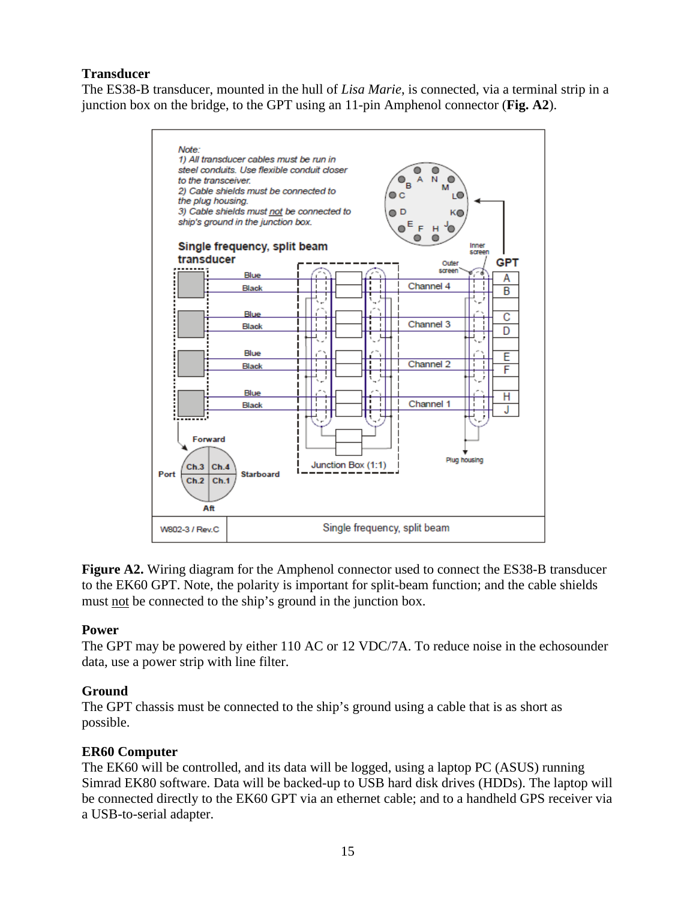## **Transducer**

The ES38-B transducer, mounted in the hull of *Lisa Marie*, is connected, via a terminal strip in a junction box on the bridge, to the GPT using an 11-pin Amphenol connector (**Fig. A2**).



**Figure A2.** Wiring diagram for the Amphenol connector used to connect the ES38-B transducer to the EK60 GPT. Note, the polarity is important for split-beam function; and the cable shields must not be connected to the ship's ground in the junction box.

## **Power**

The GPT may be powered by either 110 AC or 12 VDC/7A. To reduce noise in the echosounder data, use a power strip with line filter.

# **Ground**

The GPT chassis must be connected to the ship's ground using a cable that is as short as possible.

## **ER60 Computer**

The EK60 will be controlled, and its data will be logged, using a laptop PC (ASUS) running Simrad EK80 software. Data will be backed-up to USB hard disk drives (HDDs). The laptop will be connected directly to the EK60 GPT via an ethernet cable; and to a handheld GPS receiver via a USB-to-serial adapter.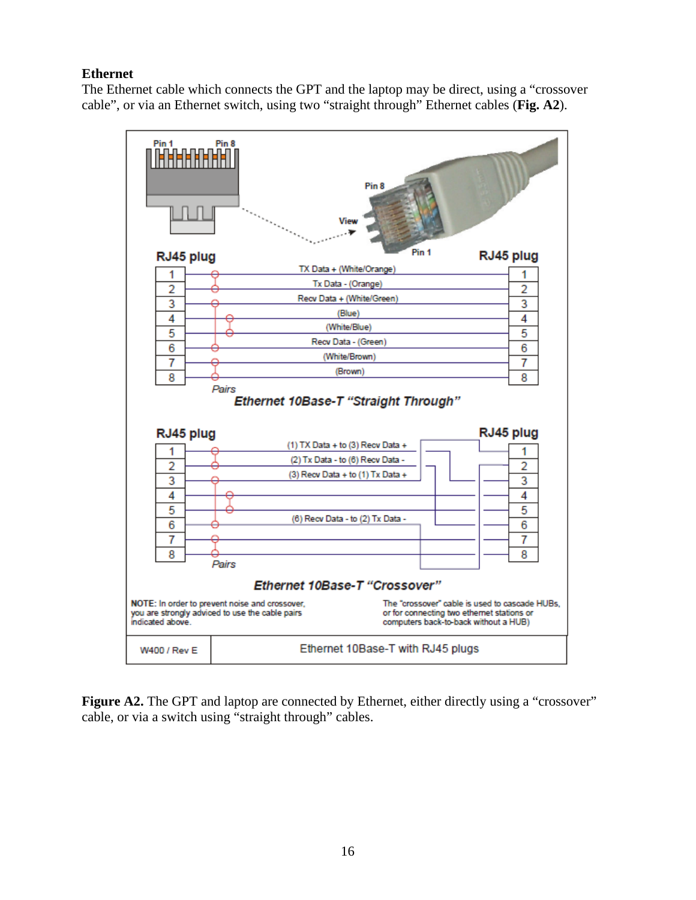# **Ethernet**

The Ethernet cable which connects the GPT and the laptop may be direct, using a "crossover cable", or via an Ethernet switch, using two "straight through" Ethernet cables (**Fig. A2**).



**Figure A2.** The GPT and laptop are connected by Ethernet, either directly using a "crossover" cable, or via a switch using "straight through" cables.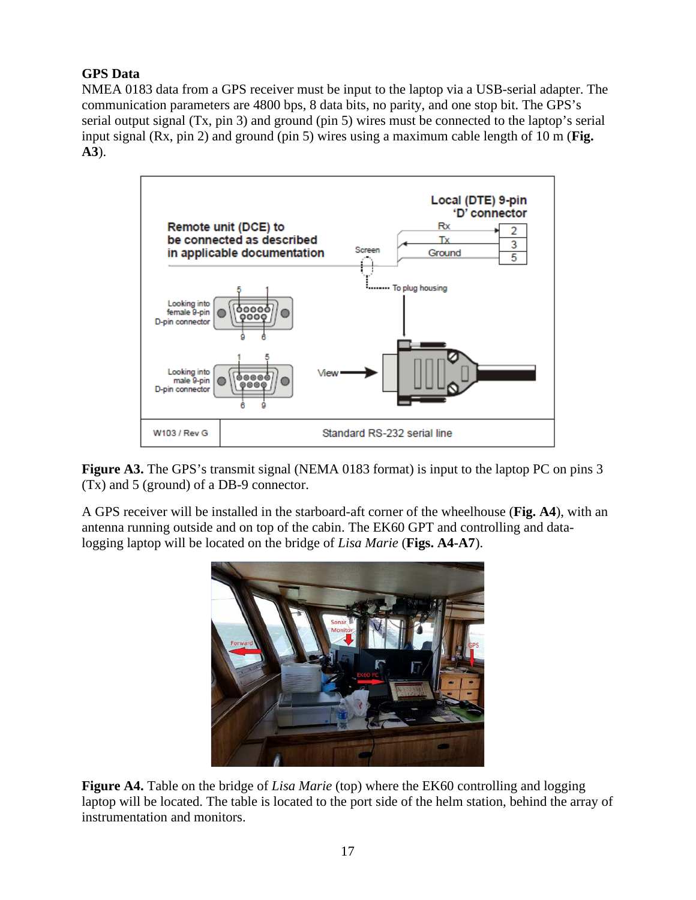# **GPS Data**

NMEA 0183 data from a GPS receiver must be input to the laptop via a USB-serial adapter. The communication parameters are 4800 bps, 8 data bits, no parity, and one stop bit. The GPS's serial output signal (Tx, pin 3) and ground (pin 5) wires must be connected to the laptop's serial input signal (Rx, pin 2) and ground (pin 5) wires using a maximum cable length of 10 m (**Fig. A3**).



**Figure A3.** The GPS's transmit signal (NEMA 0183 format) is input to the laptop PC on pins 3 (Tx) and 5 (ground) of a DB-9 connector.

A GPS receiver will be installed in the starboard-aft corner of the wheelhouse (**Fig. A4**), with an antenna running outside and on top of the cabin. The EK60 GPT and controlling and datalogging laptop will be located on the bridge of *Lisa Marie* (**Figs. A4-A7**).



**Figure A4.** Table on the bridge of *Lisa Marie* (top) where the EK60 controlling and logging laptop will be located. The table is located to the port side of the helm station, behind the array of instrumentation and monitors.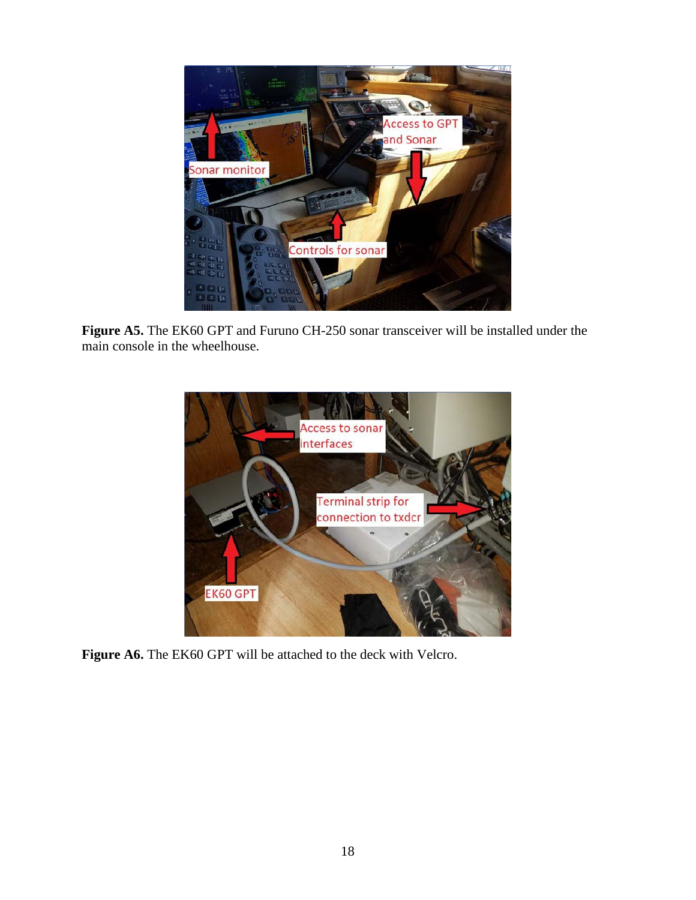

**Figure A5.** The EK60 GPT and Furuno CH-250 sonar transceiver will be installed under the main console in the wheelhouse.



Figure A6. The EK60 GPT will be attached to the deck with Velcro.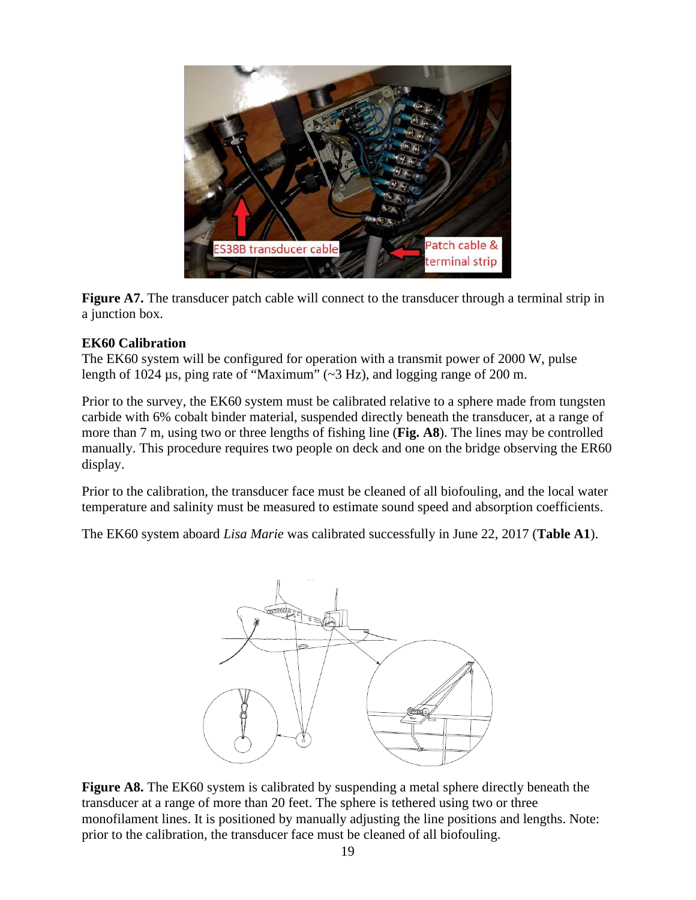

**Figure A7.** The transducer patch cable will connect to the transducer through a terminal strip in a junction box.

#### **EK60 Calibration**

The EK60 system will be configured for operation with a transmit power of 2000 W, pulse length of 1024 µs, ping rate of "Maximum" (~3 Hz), and logging range of 200 m.

Prior to the survey, the EK60 system must be calibrated relative to a sphere made from tungsten carbide with 6% cobalt binder material, suspended directly beneath the transducer, at a range of more than 7 m, using two or three lengths of fishing line (**Fig. A8**). The lines may be controlled manually. This procedure requires two people on deck and one on the bridge observing the ER60 display.

Prior to the calibration, the transducer face must be cleaned of all biofouling, and the local water temperature and salinity must be measured to estimate sound speed and absorption coefficients.

The EK60 system aboard *Lisa Marie* was calibrated successfully in June 22, 2017 (**Table A1**).



Figure A8. The EK60 system is calibrated by suspending a metal sphere directly beneath the transducer at a range of more than 20 feet. The sphere is tethered using two or three monofilament lines. It is positioned by manually adjusting the line positions and lengths. Note: prior to the calibration, the transducer face must be cleaned of all biofouling.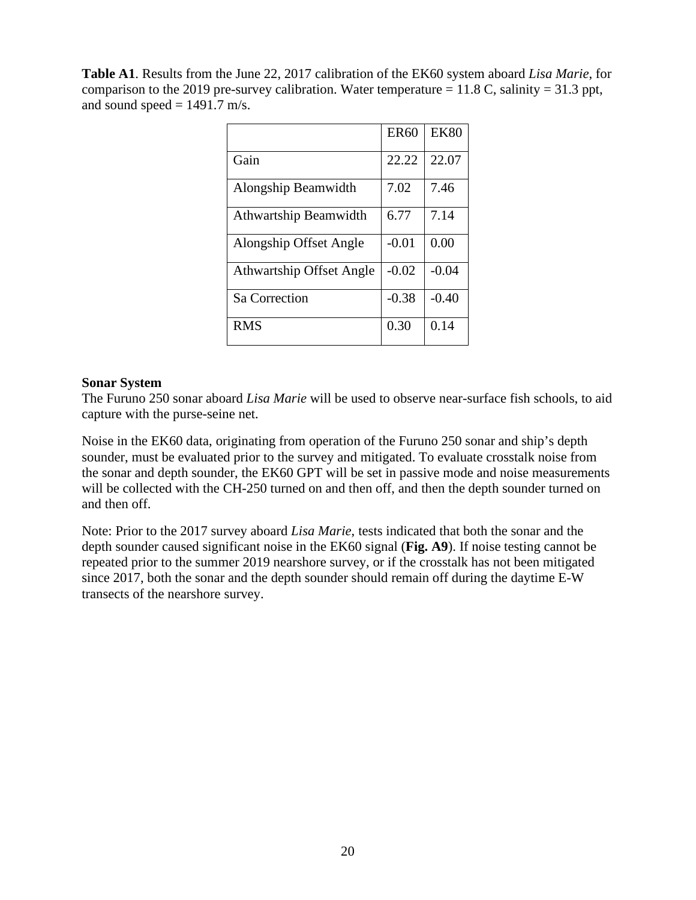**Table A1**. Results from the June 22, 2017 calibration of the EK60 system aboard *Lisa Marie*, for comparison to the 2019 pre-survey calibration. Water temperature  $= 11.8$  C, salinity  $= 31.3$  ppt, and sound speed  $= 1491.7$  m/s.

|                                 | <b>ER60</b> | <b>EK80</b> |
|---------------------------------|-------------|-------------|
| Gain                            | 22.22       | 22.07       |
| Alongship Beamwidth             | 7.02        | 7.46        |
| Athwartship Beamwidth           | 6.77        | 7.14        |
| Alongship Offset Angle          | $-0.01$     | 0.00        |
| <b>Athwartship Offset Angle</b> | $-0.02$     | $-0.04$     |
| Sa Correction                   | $-0.38$     | $-0.40$     |
| <b>RMS</b>                      | 0.30        | 0.14        |

#### **Sonar System**

The Furuno 250 sonar aboard *Lisa Marie* will be used to observe near-surface fish schools, to aid capture with the purse-seine net.

Noise in the EK60 data, originating from operation of the Furuno 250 sonar and ship's depth sounder, must be evaluated prior to the survey and mitigated. To evaluate crosstalk noise from the sonar and depth sounder, the EK60 GPT will be set in passive mode and noise measurements will be collected with the CH-250 turned on and then off, and then the depth sounder turned on and then off.

Note: Prior to the 2017 survey aboard *Lisa Marie*, tests indicated that both the sonar and the depth sounder caused significant noise in the EK60 signal (**Fig. A9**). If noise testing cannot be repeated prior to the summer 2019 nearshore survey, or if the crosstalk has not been mitigated since 2017, both the sonar and the depth sounder should remain off during the daytime E-W transects of the nearshore survey.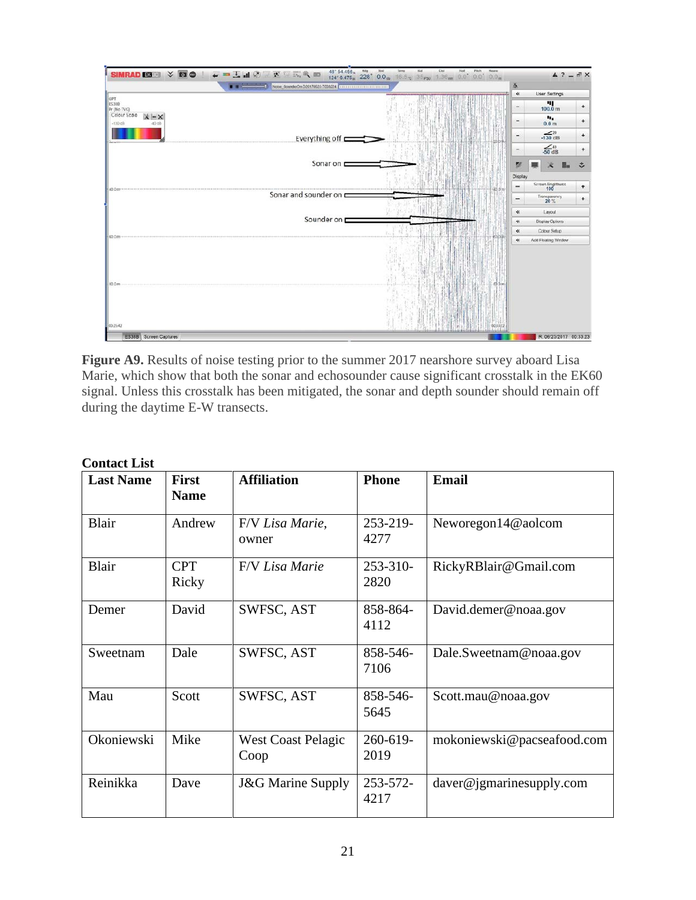

**Figure A9.** Results of noise testing prior to the summer 2017 nearshore survey aboard Lisa Marie, which show that both the sonar and echosounder cause significant crosstalk in the EK60 signal. Unless this crosstalk has been mitigated, the sonar and depth sounder should remain off during the daytime E-W transects.

| <b>Last Name</b> | <b>First</b><br><b>Name</b> | <b>Affiliation</b>                | <b>Phone</b>     | <b>Email</b>               |
|------------------|-----------------------------|-----------------------------------|------------------|----------------------------|
| <b>Blair</b>     | Andrew                      | F/V Lisa Marie,<br>owner          | 253-219-<br>4277 | Neworegon14@aolcom         |
| <b>Blair</b>     | <b>CPT</b><br>Ricky         | F/V Lisa Marie                    | 253-310-<br>2820 | RickyRBlair@Gmail.com      |
| Demer            | David                       | SWFSC, AST                        | 858-864-<br>4112 | David.demer@noaa.gov       |
| Sweetnam         | Dale                        | SWFSC, AST                        | 858-546-<br>7106 | Dale.Sweetnam@noaa.gov     |
| Mau              | Scott                       | SWFSC, AST                        | 858-546-<br>5645 | Scott.mau@noaa.gov         |
| Okoniewski       | Mike                        | <b>West Coast Pelagic</b><br>Coop | 260-619-<br>2019 | mokoniewski@pacseafood.com |
| Reinikka         | Dave                        | <b>J&amp;G Marine Supply</b>      | 253-572-<br>4217 | daver@jgmarinesupply.com   |

#### **Contact List**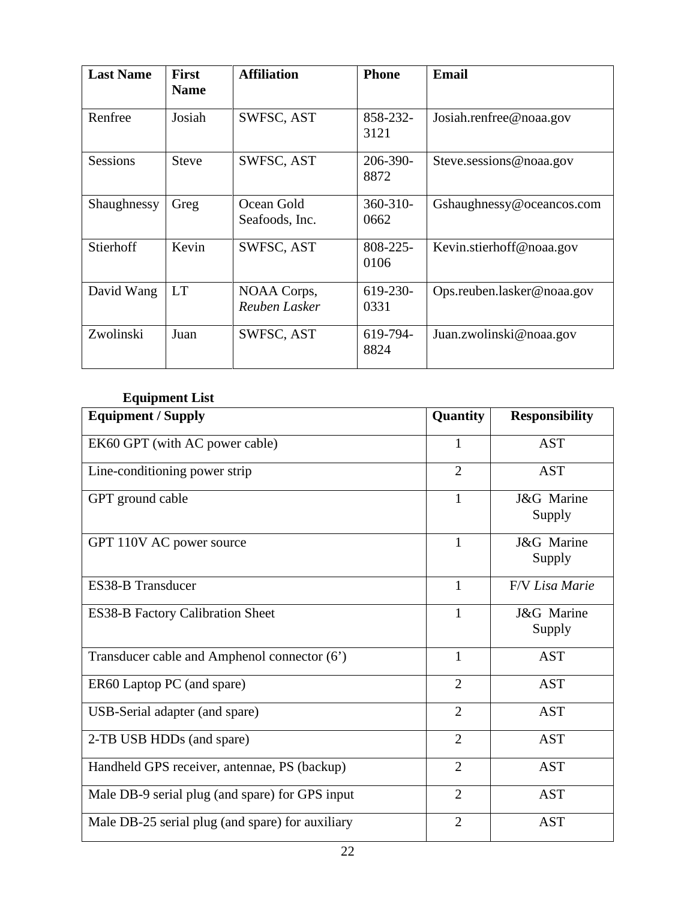| <b>Last Name</b> | <b>First</b><br><b>Name</b> | <b>Affiliation</b>           | <b>Phone</b>          | <b>Email</b>               |
|------------------|-----------------------------|------------------------------|-----------------------|----------------------------|
| Renfree          | Josiah                      | SWFSC, AST                   | 858-232-<br>3121      | Josiah.renfree@noaa.gov    |
| <b>Sessions</b>  | <b>Steve</b>                | SWFSC, AST                   | 206-390-<br>8872      | Steve.sessions@noaa.gov    |
| Shaughnessy      | Greg                        | Ocean Gold<br>Seafoods, Inc. | $360 - 310 -$<br>0662 | Gshaughnessy@oceancos.com  |
| Stierhoff        | Kevin                       | SWFSC, AST                   | 808-225-<br>0106      | Kevin.stierhoff@noaa.gov   |
| David Wang       | <b>LT</b>                   | NOAA Corps,<br>Reuben Lasker | 619-230-<br>0331      | Ops.reuben.lasker@noaa.gov |
| Zwolinski        | Juan                        | SWFSC, AST                   | 619-794-<br>8824      | Juan.zwolinski@noaa.gov    |

# **Equipment List**

| <b>Equipment / Supply</b>                        | Quantity       | <b>Responsibility</b> |
|--------------------------------------------------|----------------|-----------------------|
| EK60 GPT (with AC power cable)                   | $\mathbf{1}$   | <b>AST</b>            |
| Line-conditioning power strip                    | $\overline{2}$ | <b>AST</b>            |
| GPT ground cable                                 | $\mathbf{1}$   | J&G Marine<br>Supply  |
| GPT 110V AC power source                         | $\mathbf{1}$   | J&G Marine<br>Supply  |
| <b>ES38-B Transducer</b>                         | 1              | F/V Lisa Marie        |
| <b>ES38-B Factory Calibration Sheet</b>          | 1              | J&G Marine<br>Supply  |
| Transducer cable and Amphenol connector (6')     | $\mathbf{1}$   | <b>AST</b>            |
| ER60 Laptop PC (and spare)                       | $\overline{2}$ | <b>AST</b>            |
| USB-Serial adapter (and spare)                   | $\overline{2}$ | <b>AST</b>            |
| 2-TB USB HDDs (and spare)                        | $\overline{2}$ | <b>AST</b>            |
| Handheld GPS receiver, antennae, PS (backup)     | $\overline{2}$ | <b>AST</b>            |
| Male DB-9 serial plug (and spare) for GPS input  | $\overline{2}$ | <b>AST</b>            |
| Male DB-25 serial plug (and spare) for auxiliary | $\overline{2}$ | <b>AST</b>            |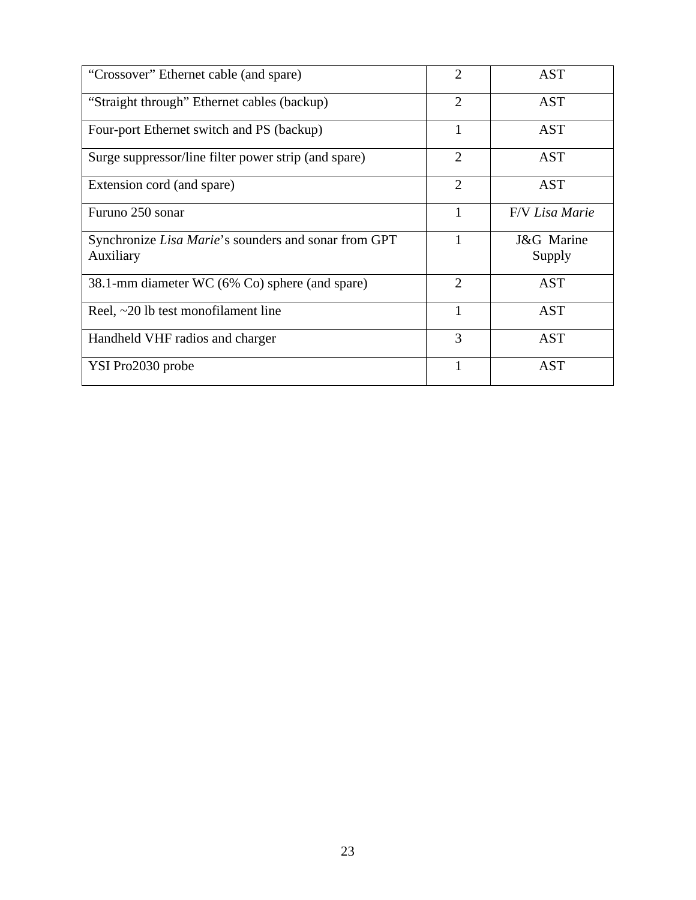| "Crossover" Ethernet cable (and spare)                       | $\overline{2}$              | <b>AST</b>     |
|--------------------------------------------------------------|-----------------------------|----------------|
| "Straight through" Ethernet cables (backup)                  | $\overline{2}$              | <b>AST</b>     |
| Four-port Ethernet switch and PS (backup)                    | 1                           | <b>AST</b>     |
| Surge suppressor/line filter power strip (and spare)         | $\overline{2}$              | <b>AST</b>     |
| Extension cord (and spare)                                   | 2                           | <b>AST</b>     |
| Furuno 250 sonar                                             |                             | F/V Lisa Marie |
| Synchronize <i>Lisa Marie</i> 's sounders and sonar from GPT |                             | J&G Marine     |
| Auxiliary                                                    |                             | Supply         |
| 38.1-mm diameter WC (6% Co) sphere (and spare)               | $\mathcal{D}_{\mathcal{L}}$ | AST            |
| Reel, $\sim$ 20 lb test monofilament line                    |                             | <b>AST</b>     |
| Handheld VHF radios and charger                              | 3                           | <b>AST</b>     |
| YSI Pro2030 probe                                            |                             | <b>AST</b>     |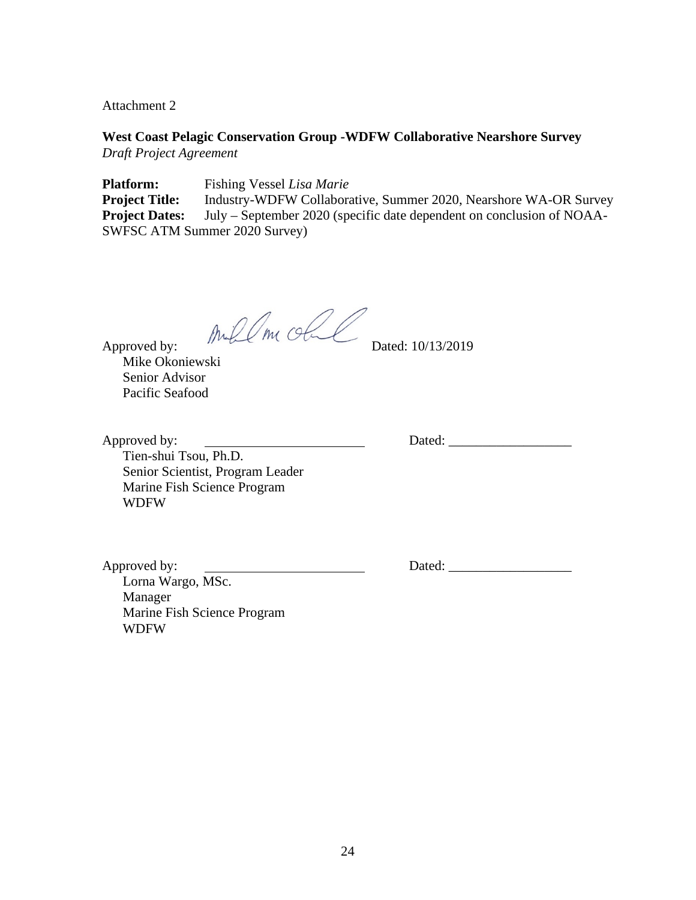Attachment 2

**West Coast Pelagic Conservation Group -WDFW Collaborative Nearshore Survey** *Draft Project Agreement*

**Platform:** Fishing Vessel *Lisa Marie* **Project Title:** Industry-WDFW Collaborative, Summer 2020, Nearshore WA-OR Survey **Project Dates:** July – September 2020 (specific date dependent on conclusion of NOAA-SWFSC ATM Summer 2020 Survey)

Approved by: And  $\ell$  m class Dated: 10/13/2019

Mike Okoniewski Senior Advisor Pacific Seafood

Approved by: Dated: \_\_\_\_\_\_\_\_\_\_\_\_\_\_\_\_\_\_ Tien-shui Tsou, Ph.D. Senior Scientist, Program Leader Marine Fish Science Program WDFW

Approved by: Dated: \_\_\_\_\_\_\_\_\_\_\_\_\_\_\_\_\_\_ Lorna Wargo, MSc. Manager Marine Fish Science Program WDFW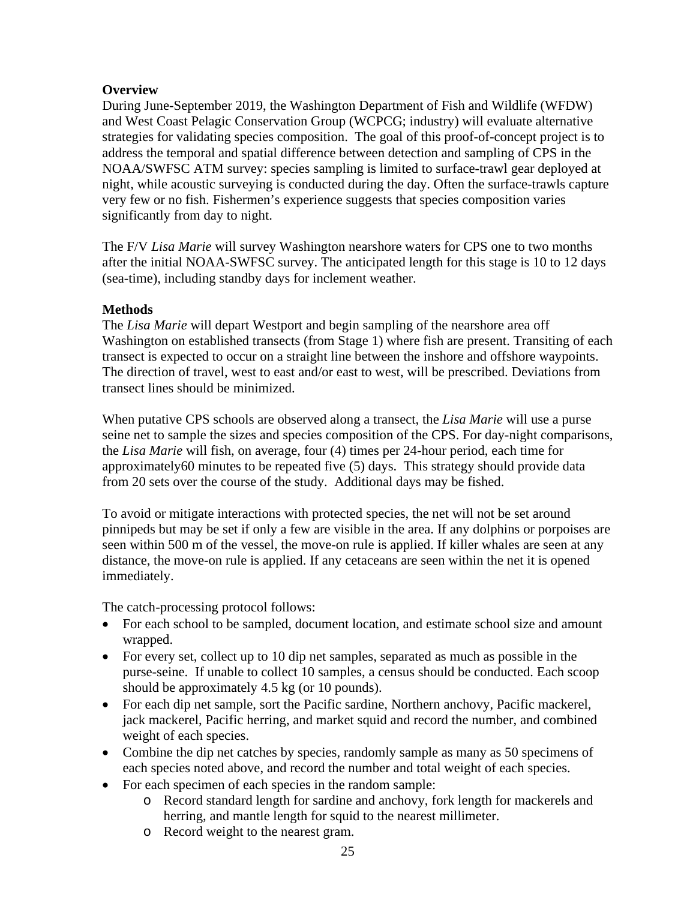# **Overview**

During June-September 2019, the Washington Department of Fish and Wildlife (WFDW) and West Coast Pelagic Conservation Group (WCPCG; industry) will evaluate alternative strategies for validating species composition. The goal of this proof-of-concept project is to address the temporal and spatial difference between detection and sampling of CPS in the NOAA/SWFSC ATM survey: species sampling is limited to surface-trawl gear deployed at night, while acoustic surveying is conducted during the day. Often the surface-trawls capture very few or no fish. Fishermen's experience suggests that species composition varies significantly from day to night.

The F/V *Lisa Marie* will survey Washington nearshore waters for CPS one to two months after the initial NOAA-SWFSC survey. The anticipated length for this stage is 10 to 12 days (sea-time), including standby days for inclement weather.

# **Methods**

The *Lisa Marie* will depart Westport and begin sampling of the nearshore area off Washington on established transects (from Stage 1) where fish are present. Transiting of each transect is expected to occur on a straight line between the inshore and offshore waypoints. The direction of travel, west to east and/or east to west, will be prescribed. Deviations from transect lines should be minimized.

When putative CPS schools are observed along a transect, the *Lisa Marie* will use a purse seine net to sample the sizes and species composition of the CPS. For day-night comparisons, the *Lisa Marie* will fish, on average, four (4) times per 24-hour period, each time for approximately60 minutes to be repeated five (5) days. This strategy should provide data from 20 sets over the course of the study. Additional days may be fished.

To avoid or mitigate interactions with protected species, the net will not be set around pinnipeds but may be set if only a few are visible in the area. If any dolphins or porpoises are seen within 500 m of the vessel, the move-on rule is applied. If killer whales are seen at any distance, the move-on rule is applied. If any cetaceans are seen within the net it is opened immediately.

The catch-processing protocol follows:

- For each school to be sampled, document location, and estimate school size and amount wrapped.
- For every set, collect up to 10 dip net samples, separated as much as possible in the purse-seine. If unable to collect 10 samples, a census should be conducted. Each scoop should be approximately 4.5 kg (or 10 pounds).
- For each dip net sample, sort the Pacific sardine, Northern anchovy, Pacific mackerel, jack mackerel, Pacific herring, and market squid and record the number, and combined weight of each species.
- Combine the dip net catches by species, randomly sample as many as 50 specimens of each species noted above, and record the number and total weight of each species.
- For each specimen of each species in the random sample:
	- o Record standard length for sardine and anchovy, fork length for mackerels and herring, and mantle length for squid to the nearest millimeter.
	- o Record weight to the nearest gram.